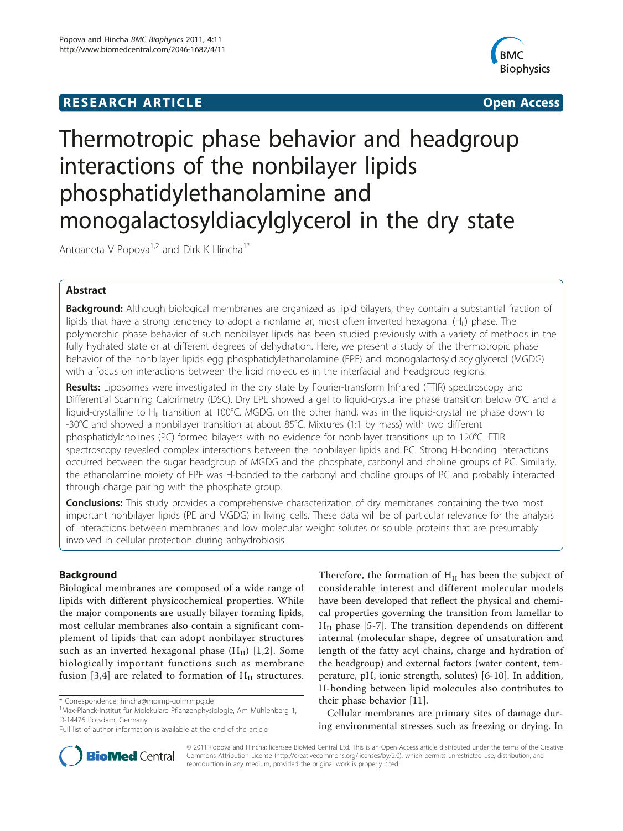# **RESEARCH ARTICLE Example 2018 12:30 THE Open Access**



# Thermotropic phase behavior and headgroup interactions of the nonbilayer lipids phosphatidylethanolamine and monogalactosyldiacylglycerol in the dry state

Antoaneta V Popova<sup>1,2</sup> and Dirk K Hincha<sup>1\*</sup>

# Abstract

Background: Although biological membranes are organized as lipid bilayers, they contain a substantial fraction of lipids that have a strong tendency to adopt a nonlamellar, most often inverted hexagonal ( $H_{II}$ ) phase. The polymorphic phase behavior of such nonbilayer lipids has been studied previously with a variety of methods in the fully hydrated state or at different degrees of dehydration. Here, we present a study of the thermotropic phase behavior of the nonbilayer lipids egg phosphatidylethanolamine (EPE) and monogalactosyldiacylglycerol (MGDG) with a focus on interactions between the lipid molecules in the interfacial and headgroup regions.

Results: Liposomes were investigated in the dry state by Fourier-transform Infrared (FTIR) spectroscopy and Differential Scanning Calorimetry (DSC). Dry EPE showed a gel to liquid-crystalline phase transition below 0°C and a liquid-crystalline to H<sub>II</sub> transition at 100°C. MGDG, on the other hand, was in the liquid-crystalline phase down to -30°C and showed a nonbilayer transition at about 85°C. Mixtures (1:1 by mass) with two different phosphatidylcholines (PC) formed bilayers with no evidence for nonbilayer transitions up to 120°C. FTIR spectroscopy revealed complex interactions between the nonbilayer lipids and PC. Strong H-bonding interactions occurred between the sugar headgroup of MGDG and the phosphate, carbonyl and choline groups of PC. Similarly, the ethanolamine moiety of EPE was H-bonded to the carbonyl and choline groups of PC and probably interacted through charge pairing with the phosphate group.

**Conclusions:** This study provides a comprehensive characterization of dry membranes containing the two most important nonbilayer lipids (PE and MGDG) in living cells. These data will be of particular relevance for the analysis of interactions between membranes and low molecular weight solutes or soluble proteins that are presumably involved in cellular protection during anhydrobiosis.

# Background

Biological membranes are composed of a wide range of lipids with different physicochemical properties. While the major components are usually bilayer forming lipids, most cellular membranes also contain a significant complement of lipids that can adopt nonbilayer structures such as an inverted hexagonal phase  $(H<sub>II</sub>)$  [\[1](#page-8-0),[2\]](#page-8-0). Some biologically important functions such as membrane fusion [[3,4\]](#page-8-0) are related to formation of  $H_{II}$  structures.

Therefore, the formation of  $H<sub>II</sub>$  has been the subject of considerable interest and different molecular models have been developed that reflect the physical and chemical properties governing the transition from lamellar to  $H<sub>II</sub>$  phase [[5-7\]](#page-8-0). The transition dependends on different internal (molecular shape, degree of unsaturation and length of the fatty acyl chains, charge and hydration of the headgroup) and external factors (water content, temperature, pH, ionic strength, solutes) [[6-10\]](#page-8-0). In addition, H-bonding between lipid molecules also contributes to their phase behavior [[11](#page-8-0)].

Cellular membranes are primary sites of damage during environmental stresses such as freezing or drying. In



© 2011 Popova and Hincha; licensee BioMed Central Ltd. This is an Open Access article distributed under the terms of the Creative Commons Attribution License [\(http://creativecommons.org/licenses/by/2.0](http://creativecommons.org/licenses/by/2.0)), which permits unrestricted use, distribution, and reproduction in any medium, provided the original work is properly cited.

<sup>\*</sup> Correspondence: [hincha@mpimp-golm.mpg.de](mailto:hincha@mpimp-golm.mpg.de)

<sup>1</sup> Max-Planck-Institut für Molekulare Pflanzenphysiologie, Am Mühlenberg 1, D-14476 Potsdam, Germany

Full list of author information is available at the end of the article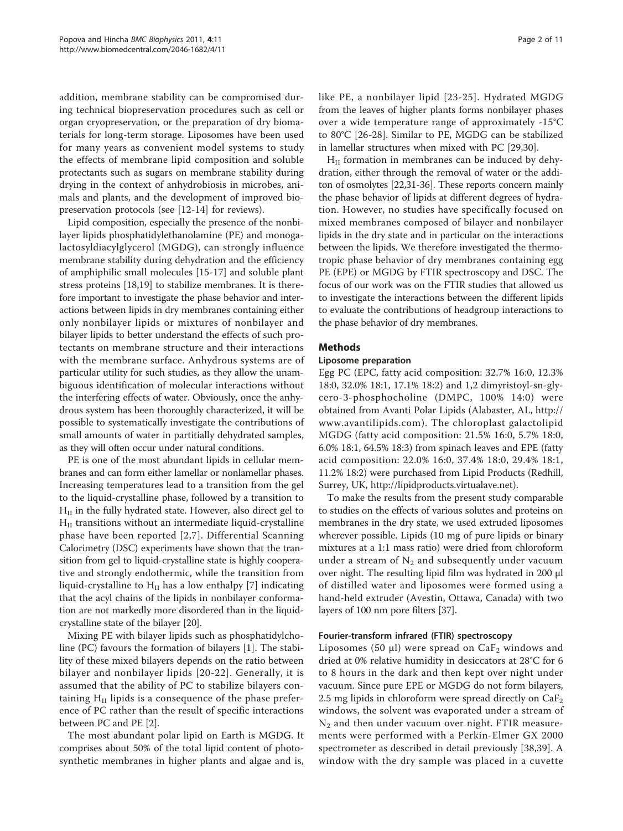addition, membrane stability can be compromised during technical biopreservation procedures such as cell or organ cryopreservation, or the preparation of dry biomaterials for long-term storage. Liposomes have been used for many years as convenient model systems to study the effects of membrane lipid composition and soluble protectants such as sugars on membrane stability during drying in the context of anhydrobiosis in microbes, animals and plants, and the development of improved biopreservation protocols (see [\[12-14](#page-8-0)] for reviews).

Lipid composition, especially the presence of the nonbilayer lipids phosphatidylethanolamine (PE) and monogalactosyldiacylglycerol (MGDG), can strongly influence membrane stability during dehydration and the efficiency of amphiphilic small molecules [\[15](#page-8-0)-[17\]](#page-8-0) and soluble plant stress proteins [\[18,19\]](#page-9-0) to stabilize membranes. It is therefore important to investigate the phase behavior and interactions between lipids in dry membranes containing either only nonbilayer lipids or mixtures of nonbilayer and bilayer lipids to better understand the effects of such protectants on membrane structure and their interactions with the membrane surface. Anhydrous systems are of particular utility for such studies, as they allow the unambiguous identification of molecular interactions without the interfering effects of water. Obviously, once the anhydrous system has been thoroughly characterized, it will be possible to systematically investigate the contributions of small amounts of water in partitially dehydrated samples, as they will often occur under natural conditions.

PE is one of the most abundant lipids in cellular membranes and can form either lamellar or nonlamellar phases. Increasing temperatures lead to a transition from the gel to the liquid-crystalline phase, followed by a transition to  $H_{II}$  in the fully hydrated state. However, also direct gel to  $H<sub>II</sub>$  transitions without an intermediate liquid-crystalline phase have been reported [[2,7\]](#page-8-0). Differential Scanning Calorimetry (DSC) experiments have shown that the transition from gel to liquid-crystalline state is highly cooperative and strongly endothermic, while the transition from liquid-crystalline to  $H<sub>II</sub>$  has a low enthalpy [[7\]](#page-8-0) indicating that the acyl chains of the lipids in nonbilayer conformation are not markedly more disordered than in the liquidcrystalline state of the bilayer [\[20\]](#page-9-0).

Mixing PE with bilayer lipids such as phosphatidylcholine (PC) favours the formation of bilayers [[1\]](#page-8-0). The stability of these mixed bilayers depends on the ratio between bilayer and nonbilayer lipids [[20](#page-9-0)-[22](#page-9-0)]. Generally, it is assumed that the ability of PC to stabilize bilayers containing  $H<sub>II</sub>$  lipids is a consequence of the phase preference of PC rather than the result of specific interactions between PC and PE [\[2](#page-8-0)].

The most abundant polar lipid on Earth is MGDG. It comprises about 50% of the total lipid content of photosynthetic membranes in higher plants and algae and is,

like PE, a nonbilayer lipid [[23](#page-9-0)-[25\]](#page-9-0). Hydrated MGDG from the leaves of higher plants forms nonbilayer phases over a wide temperature range of approximately -15°C to 80°C [\[26](#page-9-0)-[28\]](#page-9-0). Similar to PE, MGDG can be stabilized in lamellar structures when mixed with PC [\[29,30](#page-9-0)].

 $H<sub>II</sub>$  formation in membranes can be induced by dehydration, either through the removal of water or the additon of osmolytes [[22,31](#page-9-0)-[36](#page-9-0)]. These reports concern mainly the phase behavior of lipids at different degrees of hydration. However, no studies have specifically focused on mixed membranes composed of bilayer and nonbilayer lipids in the dry state and in particular on the interactions between the lipids. We therefore investigated the thermotropic phase behavior of dry membranes containing egg PE (EPE) or MGDG by FTIR spectroscopy and DSC. The focus of our work was on the FTIR studies that allowed us to investigate the interactions between the different lipids to evaluate the contributions of headgroup interactions to the phase behavior of dry membranes.

# Methods

## Liposome preparation

Egg PC (EPC, fatty acid composition: 32.7% 16:0, 12.3% 18:0, 32.0% 18:1, 17.1% 18:2) and 1,2 dimyristoyl-sn-glycero-3-phosphocholine (DMPC, 100% 14:0) were obtained from Avanti Polar Lipids (Alabaster, AL, [http://](http://www.avantilipids.com) [www.avantilipids.com\)](http://www.avantilipids.com). The chloroplast galactolipid MGDG (fatty acid composition: 21.5% 16:0, 5.7% 18:0, 6.0% 18:1, 64.5% 18:3) from spinach leaves and EPE (fatty acid composition: 22.0% 16:0, 37.4% 18:0, 29.4% 18:1, 11.2% 18:2) were purchased from Lipid Products (Redhill, Surrey, UK, [http://lipidproducts.virtualave.net\)](http://lipidproducts.virtualave.net).

To make the results from the present study comparable to studies on the effects of various solutes and proteins on membranes in the dry state, we used extruded liposomes wherever possible. Lipids (10 mg of pure lipids or binary mixtures at a 1:1 mass ratio) were dried from chloroform under a stream of  $N_2$  and subsequently under vacuum over night. The resulting lipid film was hydrated in 200 μl of distilled water and liposomes were formed using a hand-held extruder (Avestin, Ottawa, Canada) with two layers of 100 nm pore filters [\[37\]](#page-9-0).

# Fourier-transform infrared (FTIR) spectroscopy

Liposomes (50  $\mu$ l) were spread on CaF<sub>2</sub> windows and dried at 0% relative humidity in desiccators at 28°C for 6 to 8 hours in the dark and then kept over night under vacuum. Since pure EPE or MGDG do not form bilayers, 2.5 mg lipids in chloroform were spread directly on  $\rm CaF_2$ windows, the solvent was evaporated under a stream of N2 and then under vacuum over night. FTIR measurements were performed with a Perkin-Elmer GX 2000 spectrometer as described in detail previously [[38,39](#page-9-0)]. A window with the dry sample was placed in a cuvette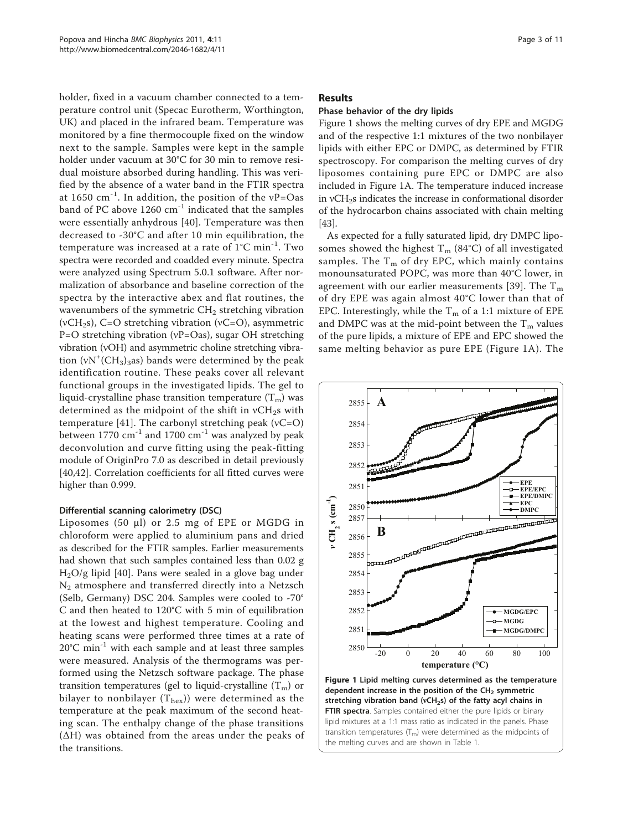<span id="page-2-0"></span>holder, fixed in a vacuum chamber connected to a temperature control unit (Specac Eurotherm, Worthington, UK) and placed in the infrared beam. Temperature was monitored by a fine thermocouple fixed on the window next to the sample. Samples were kept in the sample holder under vacuum at 30°C for 30 min to remove residual moisture absorbed during handling. This was verified by the absence of a water band in the FTIR spectra at 1650  $cm^{-1}$ . In addition, the position of the vP=Oas band of PC above 1260 cm<sup>-1</sup> indicated that the samples were essentially anhydrous [\[40\]](#page-9-0). Temperature was then decreased to -30°C and after 10 min equilibration, the temperature was increased at a rate of 1°C min-1. Two spectra were recorded and coadded every minute. Spectra were analyzed using Spectrum 5.0.1 software. After normalization of absorbance and baseline correction of the spectra by the interactive abex and flat routines, the wavenumbers of the symmetric  $CH<sub>2</sub>$  stretching vibration (vCH<sub>2</sub>s), C=O stretching vibration (vC=O), asymmetric P=O stretching vibration (νP=Oas), sugar OH stretching vibration (νOH) and asymmetric choline stretching vibration  $(vN^+(CH_3)_3)$  bands were determined by the peak identification routine. These peaks cover all relevant functional groups in the investigated lipids. The gel to liquid-crystalline phase transition temperature  $(T_m)$  was determined as the midpoint of the shift in  $vCH_2s$  with temperature [\[41\]](#page-9-0). The carbonyl stretching peak  $(vC=O)$ between  $1770 \text{ cm}^{-1}$  and  $1700 \text{ cm}^{-1}$  was analyzed by peak deconvolution and curve fitting using the peak-fitting module of OriginPro 7.0 as described in detail previously [[40,42\]](#page-9-0). Correlation coefficients for all fitted curves were higher than 0.999.

# Differential scanning calorimetry (DSC)

Liposomes (50 μl) or 2.5 mg of EPE or MGDG in chloroform were applied to aluminium pans and dried as described for the FTIR samples. Earlier measurements had shown that such samples contained less than 0.02 g H2O/g lipid [\[40](#page-9-0)]. Pans were sealed in a glove bag under N2 atmosphere and transferred directly into a Netzsch (Selb, Germany) DSC 204. Samples were cooled to -70° C and then heated to 120°C with 5 min of equilibration at the lowest and highest temperature. Cooling and heating scans were performed three times at a rate of 20°C min-1 with each sample and at least three samples were measured. Analysis of the thermograms was performed using the Netzsch software package. The phase transition temperatures (gel to liquid-crystalline  $(T_m)$  or bilayer to nonbilayer  $(T_{hex})$ ) were determined as the temperature at the peak maximum of the second heating scan. The enthalpy change of the phase transitions  $(ΔH)$  was obtained from the areas under the peaks of the transitions.

# Results

# Phase behavior of the dry lipids

Figure 1 shows the melting curves of dry EPE and MGDG and of the respective 1:1 mixtures of the two nonbilayer lipids with either EPC or DMPC, as determined by FTIR spectroscopy. For comparison the melting curves of dry liposomes containing pure EPC or DMPC are also included in Figure 1A. The temperature induced increase in νCH<sub>2</sub>s indicates the increase in conformational disorder of the hydrocarbon chains associated with chain melting [[43](#page-9-0)].

As expected for a fully saturated lipid, dry DMPC liposomes showed the highest  $T_m$  (84°C) of all investigated samples. The  $T_m$  of dry EPC, which mainly contains monounsaturated POPC, was more than 40°C lower, in agreement with our earlier measurements [\[39\]](#page-9-0). The  $T_m$ of dry EPE was again almost 40°C lower than that of EPC. Interestingly, while the  $T_m$  of a 1:1 mixture of EPE and DMPC was at the mid-point between the  $T_m$  values of the pure lipids, a mixture of EPE and EPC showed the same melting behavior as pure EPE (Figure 1A). The



dependent increase in the position of the  $CH<sub>2</sub>$  symmetric stretching vibration band (vCH<sub>2</sub>s) of the fatty acyl chains in FTIR spectra. Samples contained either the pure lipids or binary lipid mixtures at a 1:1 mass ratio as indicated in the panels. Phase transition temperatures  $(T_m)$  were determined as the midpoints of the melting curves and are shown in Table 1.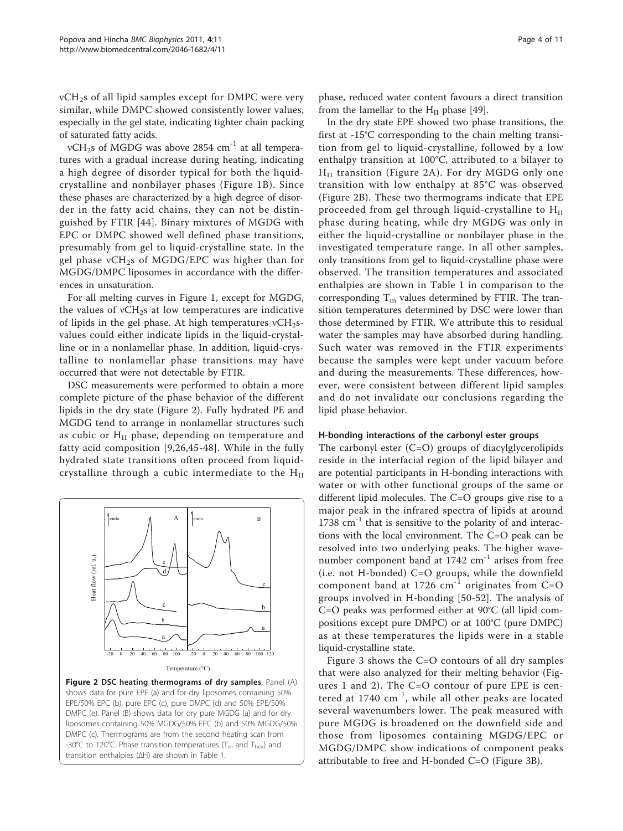$vCH<sub>2</sub>s$  of all lipid samples except for DMPC were very similar, while DMPC showed consistently lower values, especially in the gel state, indicating tighter chain packing of saturated fatty acids.

νCH<sub>2</sub>s of MGDG was above 2854 cm<sup>-1</sup> at all temperatures with a gradual increase during heating, indicating a high degree of disorder typical for both the liquidcrystalline and nonbilayer phases (Figure [1B](#page-2-0)). Since these phases are characterized by a high degree of disorder in the fatty acid chains, they can not be distinguished by FTIR [[44\]](#page-9-0). Binary mixtures of MGDG with EPC or DMPC showed well defined phase transitions, presumably from gel to liquid-crystalline state. In the gel phase νCH<sub>2</sub>s of MGDG/EPC was higher than for MGDG/DMPC liposomes in accordance with the differences in unsaturation.

For all melting curves in Figure [1](#page-2-0), except for MGDG, the values of  $vCH_2s$  at low temperatures are indicative of lipids in the gel phase. At high temperatures  $vCH_2s$ values could either indicate lipids in the liquid-crystalline or in a nonlamellar phase. In addition, liquid-crystalline to nonlamellar phase transitions may have occurred that were not detectable by FTIR.

DSC measurements were performed to obtain a more complete picture of the phase behavior of the different lipids in the dry state (Figure 2). Fully hydrated PE and MGDG tend to arrange in nonlamellar structures such as cubic or H<sub>II</sub> phase, depending on temperature and fatty acid composition [[9](#page-8-0),[26,45](#page-9-0)-[48](#page-9-0)]. While in the fully hydrated state transitions often proceed from liquidcrystalline through a cubic intermediate to the  $H<sub>II</sub>$ 



EPE/50% EPC (b), pure EPC (c), pure DMPC (d) and 50% EPE/50% DMPC (e). Panel (B) shows data for dry pure MGDG (a) and for dry liposomes containing 50% MGDG/50% EPC (b) and 50% MGDG/50% DMPC (c). Thermograms are from the second heating scan from -30°C to 120°C. Phase transition temperatures ( $T_m$  and  $T_{\text{hex}}$ ) and transition enthalpies (ΔH) are shown in Table 1.

phase, reduced water content favours a direct transition from the lamellar to the  $H<sub>II</sub>$  phase [\[49\]](#page-9-0).

In the dry state EPE showed two phase transitions, the first at -15°C corresponding to the chain melting transition from gel to liquid-crystalline, followed by a low enthalpy transition at 100°C, attributed to a bilayer to  $H<sub>II</sub>$  transition (Figure 2A). For dry MGDG only one transition with low enthalpy at 85°C was observed (Figure 2B). These two thermograms indicate that EPE proceeded from gel through liquid-crystalline to  $H<sub>II</sub>$ phase during heating, while dry MGDG was only in either the liquid-crystalline or nonbilayer phase in the investigated temperature range. In all other samples, only transitions from gel to liquid-crystalline phase were observed. The transition temperatures and associated enthalpies are shown in Table [1](#page-4-0) in comparison to the corresponding  $T_m$  values determined by FTIR. The transition temperatures determined by DSC were lower than those determined by FTIR. We attribute this to residual water the samples may have absorbed during handling. Such water was removed in the FTIR experiments because the samples were kept under vacuum before and during the measurements. These differences, however, were consistent between different lipid samples and do not invalidate our conclusions regarding the lipid phase behavior.

# H-bonding interactions of the carbonyl ester groups

The carbonyl ester  $(C=O)$  groups of diacylglycerolipids reside in the interfacial region of the lipid bilayer and are potential participants in H-bonding interactions with water or with other functional groups of the same or different lipid molecules. The C=O groups give rise to a major peak in the infrared spectra of lipids at around  $1738$   $\text{cm}^{-1}$  that is sensitive to the polarity of and interactions with the local environment. The C=O peak can be resolved into two underlying peaks. The higher wavenumber component band at 1742 cm<sup>-1</sup> arises from free (i.e. not H-bonded) C=O groups, while the downfield component band at 1726  $cm^{-1}$  originates from C=O groups involved in H-bonding [[50](#page-9-0)-[52\]](#page-9-0). The analysis of C=O peaks was performed either at 90°C (all lipid compositions except pure DMPC) or at 100°C (pure DMPC) as at these temperatures the lipids were in a stable liquid-crystalline state.

Figure [3](#page-4-0) shows the C=O contours of all dry samples that were also analyzed for their melting behavior (Figures [1](#page-2-0) and 2). The C=O contour of pure EPE is centered at  $1740 \text{ cm}^{-1}$ , while all other peaks are located several wavenumbers lower. The peak measured with pure MGDG is broadened on the downfield side and those from liposomes containing MGDG/EPC or MGDG/DMPC show indications of component peaks attributable to free and H-bonded C=O (Figure [3B](#page-4-0)).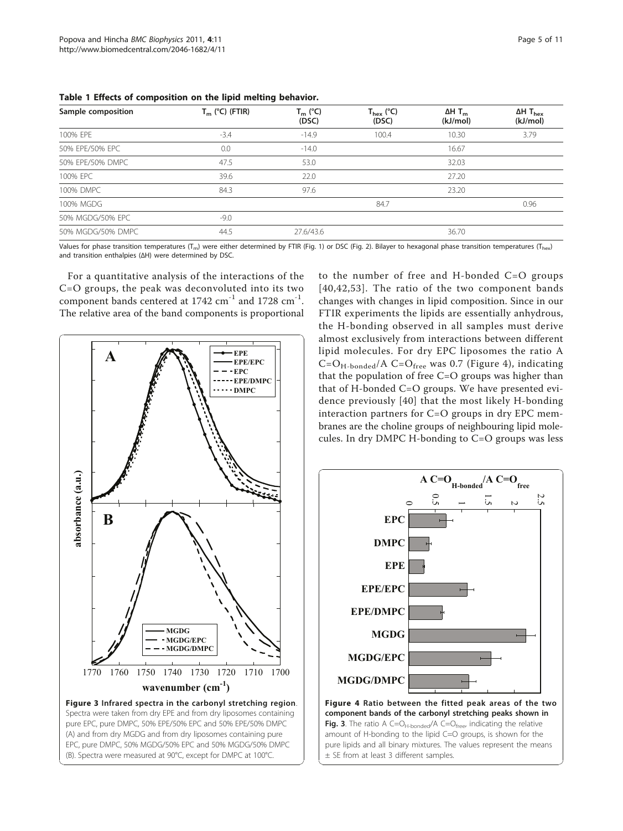| Sample composition | $T_m$ (°C) (FTIR) | $T_m$ (°C)<br>(DSC) | $T_{hex}$ (°C)<br>(DSC) | $\Delta H$ T <sub>m</sub><br>(kJ/mol) | $\Delta H$ T <sub>hex</sub><br>(kJ/mol) |
|--------------------|-------------------|---------------------|-------------------------|---------------------------------------|-----------------------------------------|
| 100% EPE           | $-3.4$            | $-14.9$             | 100.4                   | 10.30                                 | 3.79                                    |
| 50% EPE/50% EPC    | 0.0               | $-14.0$             |                         | 16.67                                 |                                         |
| 50% EPE/50% DMPC   | 47.5              | 53.0                |                         | 32.03                                 |                                         |
| 100% EPC           | 39.6              | 22.0                |                         | 27.20                                 |                                         |
| 100% DMPC          | 84.3              | 97.6                |                         | 23.20                                 |                                         |
| 100% MGDG          |                   |                     | 84.7                    |                                       | 0.96                                    |
| 50% MGDG/50% EPC   | $-9.0$            |                     |                         |                                       |                                         |
| 50% MGDG/50% DMPC  | 44.5              | 27.6/43.6           |                         | 36.70                                 |                                         |

<span id="page-4-0"></span>Table 1 Effects of composition on the lipid melting behavior.

Values for phase transition temperatures (T<sub>m</sub>) were either determined by FTIR (Fig. 1) or DSC (Fig. 2). Bilayer to hexagonal phase transition temperatures (T<sub>hex</sub>) and transition enthalpies (ΔH) were determined by DSC.

For a quantitative analysis of the interactions of the C=O groups, the peak was deconvoluted into its two component bands centered at 1742 cm<sup>-1</sup> and 1728 cm<sup>-1</sup>. The relative area of the band components is proportional



to the number of free and H-bonded C=O groups [[40](#page-9-0),[42](#page-9-0),[53\]](#page-9-0). The ratio of the two component bands changes with changes in lipid composition. Since in our FTIR experiments the lipids are essentially anhydrous, the H-bonding observed in all samples must derive almost exclusively from interactions between different lipid molecules. For dry EPC liposomes the ratio A  $C=O_{H-bonded}/A$   $C=O_{free}$  was 0.7 (Figure 4), indicating that the population of free C=O groups was higher than that of H-bonded C=O groups. We have presented evidence previously [[40\]](#page-9-0) that the most likely H-bonding interaction partners for C=O groups in dry EPC membranes are the choline groups of neighbouring lipid molecules. In dry DMPC H-bonding to C=O groups was less

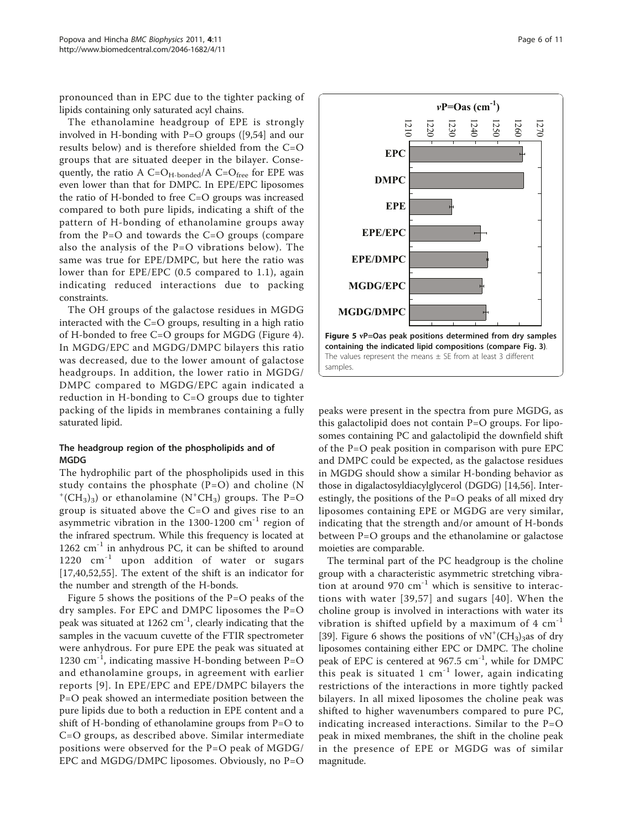<span id="page-5-0"></span>pronounced than in EPC due to the tighter packing of lipids containing only saturated acyl chains.

The ethanolamine headgroup of EPE is strongly involved in H-bonding with P=O groups ([[9,](#page-8-0)[54\]](#page-9-0) and our results below) and is therefore shielded from the C=O groups that are situated deeper in the bilayer. Consequently, the ratio A  $C = O_{H\text{-bonded}}/A$   $C = O_{\text{free}}$  for EPE was even lower than that for DMPC. In EPE/EPC liposomes the ratio of H-bonded to free C=O groups was increased compared to both pure lipids, indicating a shift of the pattern of H-bonding of ethanolamine groups away from the P=O and towards the C=O groups (compare also the analysis of the P=O vibrations below). The same was true for EPE/DMPC, but here the ratio was lower than for EPE/EPC (0.5 compared to 1.1), again indicating reduced interactions due to packing constraints.

The OH groups of the galactose residues in MGDG interacted with the C=O groups, resulting in a high ratio of H-bonded to free C=O groups for MGDG (Figure [4](#page-4-0)). In MGDG/EPC and MGDG/DMPC bilayers this ratio was decreased, due to the lower amount of galactose headgroups. In addition, the lower ratio in MGDG/ DMPC compared to MGDG/EPC again indicated a reduction in H-bonding to C=O groups due to tighter packing of the lipids in membranes containing a fully saturated lipid.

# The headgroup region of the phospholipids and of MGDG

The hydrophilic part of the phospholipids used in this study contains the phosphate  $(P=O)$  and choline (N  $+$ (CH<sub>3</sub>)<sub>3</sub>) or ethanolamine (N<sup>+</sup>CH<sub>3</sub>) groups. The P=O group is situated above the C=O and gives rise to an asymmetric vibration in the 1300-1200  $\text{cm}^{-1}$  region of the infrared spectrum. While this frequency is located at  $1262$  cm<sup>-1</sup> in anhydrous PC, it can be shifted to around 1220 cm<sup>-1</sup> upon addition of water or sugars [[17](#page-8-0)[,40,52](#page-9-0),[55\]](#page-9-0). The extent of the shift is an indicator for the number and strength of the H-bonds.

Figure 5 shows the positions of the P=O peaks of the dry samples. For EPC and DMPC liposomes the P=O peak was situated at  $1262 \text{ cm}^{-1}$ , clearly indicating that the samples in the vacuum cuvette of the FTIR spectrometer were anhydrous. For pure EPE the peak was situated at 1230 cm<sup>-1</sup>, indicating massive H-bonding between  $P=O$ and ethanolamine groups, in agreement with earlier reports [[9](#page-8-0)]. In EPE/EPC and EPE/DMPC bilayers the P=O peak showed an intermediate position between the pure lipids due to both a reduction in EPE content and a shift of H-bonding of ethanolamine groups from P=O to C=O groups, as described above. Similar intermediate positions were observed for the P=O peak of MGDG/ EPC and MGDG/DMPC liposomes. Obviously, no P=O



peaks were present in the spectra from pure MGDG, as this galactolipid does not contain P=O groups. For liposomes containing PC and galactolipid the downfield shift of the P=O peak position in comparison with pure EPC and DMPC could be expected, as the galactose residues in MGDG should show a similar H-bonding behavior as those in digalactosyldiacylglycerol (DGDG) [\[14](#page-8-0)[,56](#page-9-0)]. Interestingly, the positions of the P=O peaks of all mixed dry liposomes containing EPE or MGDG are very similar, indicating that the strength and/or amount of H-bonds between P=O groups and the ethanolamine or galactose moieties are comparable.

The terminal part of the PC headgroup is the choline group with a characteristic asymmetric stretching vibration at around 970  $cm^{-1}$  which is sensitive to interactions with water [[39](#page-9-0),[57](#page-9-0)] and sugars [[40](#page-9-0)]. When the choline group is involved in interactions with water its vibration is shifted upfield by a maximum of  $4 \text{ cm}^{-1}$ [[39\]](#page-9-0). Figure [6](#page-6-0) shows the positions of  $vN^+(CH_3)_3$ as of dry liposomes containing either EPC or DMPC. The choline peak of EPC is centered at  $967.5 \text{ cm}^{-1}$ , while for DMPC this peak is situated 1  $cm^{-1}$  lower, again indicating restrictions of the interactions in more tightly packed bilayers. In all mixed liposomes the choline peak was shifted to higher wavenumbers compared to pure PC, indicating increased interactions. Similar to the P=O peak in mixed membranes, the shift in the choline peak in the presence of EPE or MGDG was of similar magnitude.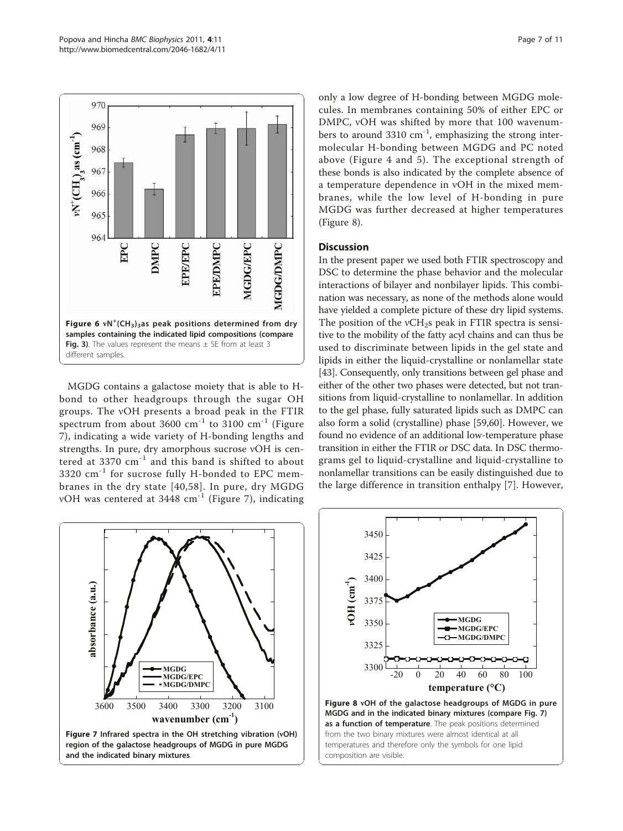<span id="page-6-0"></span>

MGDG contains a galactose moiety that is able to Hbond to other headgroups through the sugar OH groups. The νOH presents a broad peak in the FTIR spectrum from about 3600  $\text{cm}^{-1}$  to 3100  $\text{cm}^{-1}$  (Figure 7), indicating a wide variety of H-bonding lengths and strengths. In pure, dry amorphous sucrose νOH is centered at 3370 cm-1 and this band is shifted to about 3320 cm<sup>-1</sup> for sucrose fully H-bonded to EPC membranes in the dry state [[40](#page-9-0),[58\]](#page-9-0). In pure, dry MGDG νOH was centered at 3448 cm-1 (Figure 7), indicating only a low degree of H-bonding between MGDG molecules. In membranes containing 50% of either EPC or DMPC, νOH was shifted by more that 100 wavenumbers to around 3310  $\text{cm}^{-1}$ , emphasizing the strong intermolecular H-bonding between MGDG and PC noted above (Figure [4](#page-4-0) and [5\)](#page-5-0). The exceptional strength of these bonds is also indicated by the complete absence of a temperature dependence in νOH in the mixed membranes, while the low level of H-bonding in pure MGDG was further decreased at higher temperatures (Figure 8).

# **Discussion**

In the present paper we used both FTIR spectroscopy and DSC to determine the phase behavior and the molecular interactions of bilayer and nonbilayer lipids. This combination was necessary, as none of the methods alone would have yielded a complete picture of these dry lipid systems. The position of the  $vCH_2s$  peak in FTIR spectra is sensitive to the mobility of the fatty acyl chains and can thus be used to discriminate between lipids in the gel state and lipids in either the liquid-crystalline or nonlamellar state [[43](#page-9-0)]. Consequently, only transitions between gel phase and either of the other two phases were detected, but not transitions from liquid-crystalline to nonlamellar. In addition to the gel phase, fully saturated lipids such as DMPC can also form a solid (crystalline) phase [[59,60\]](#page-9-0). However, we found no evidence of an additional low-temperature phase transition in either the FTIR or DSC data. In DSC thermograms gel to liquid-crystalline and liquid-crystalline to nonlamellar transitions can be easily distinguished due to the large difference in transition enthalpy [[7\]](#page-8-0). However,



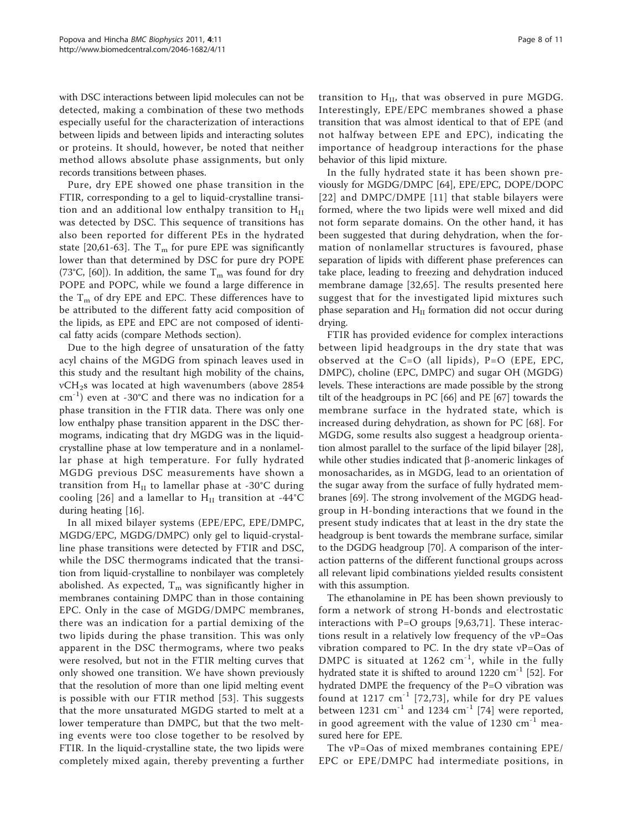with DSC interactions between lipid molecules can not be detected, making a combination of these two methods especially useful for the characterization of interactions between lipids and between lipids and interacting solutes or proteins. It should, however, be noted that neither method allows absolute phase assignments, but only records transitions between phases.

Pure, dry EPE showed one phase transition in the FTIR, corresponding to a gel to liquid-crystalline transition and an additional low enthalpy transition to  $H<sub>II</sub>$ was detected by DSC. This sequence of transitions has also been reported for different PEs in the hydrated state [[20,61](#page-9-0)-[63\]](#page-10-0). The  $T_m$  for pure EPE was significantly lower than that determined by DSC for pure dry POPE (73°C, [[60\]](#page-9-0)). In addition, the same  $T_m$  was found for dry POPE and POPC, while we found a large difference in the  $T_m$  of dry EPE and EPC. These differences have to be attributed to the different fatty acid composition of the lipids, as EPE and EPC are not composed of identical fatty acids (compare Methods section).

Due to the high degree of unsaturation of the fatty acyl chains of the MGDG from spinach leaves used in this study and the resultant high mobility of the chains, νCH2s was located at high wavenumbers (above 2854  $cm^{-1}$ ) even at -30°C and there was no indication for a phase transition in the FTIR data. There was only one low enthalpy phase transition apparent in the DSC thermograms, indicating that dry MGDG was in the liquidcrystalline phase at low temperature and in a nonlamellar phase at high temperature. For fully hydrated MGDG previous DSC measurements have shown a transition from  $H<sub>II</sub>$  to lamellar phase at -30°C during cooling [[26](#page-9-0)] and a lamellar to  $H<sub>II</sub>$  transition at -44°C during heating [[16\]](#page-8-0).

In all mixed bilayer systems (EPE/EPC, EPE/DMPC, MGDG/EPC, MGDG/DMPC) only gel to liquid-crystalline phase transitions were detected by FTIR and DSC, while the DSC thermograms indicated that the transition from liquid-crystalline to nonbilayer was completely abolished. As expected,  $T_m$  was significantly higher in membranes containing DMPC than in those containing EPC. Only in the case of MGDG/DMPC membranes, there was an indication for a partial demixing of the two lipids during the phase transition. This was only apparent in the DSC thermograms, where two peaks were resolved, but not in the FTIR melting curves that only showed one transition. We have shown previously that the resolution of more than one lipid melting event is possible with our FTIR method [[53\]](#page-9-0). This suggests that the more unsaturated MGDG started to melt at a lower temperature than DMPC, but that the two melting events were too close together to be resolved by FTIR. In the liquid-crystalline state, the two lipids were completely mixed again, thereby preventing a further

transition to  $H<sub>II</sub>$ , that was observed in pure MGDG. Interestingly, EPE/EPC membranes showed a phase transition that was almost identical to that of EPE (and not halfway between EPE and EPC), indicating the importance of headgroup interactions for the phase behavior of this lipid mixture.

In the fully hydrated state it has been shown previously for MGDG/DMPC [\[64](#page-10-0)], EPE/EPC, DOPE/DOPC [[22\]](#page-9-0) and DMPC/DMPE [[11\]](#page-8-0) that stable bilayers were formed, where the two lipids were well mixed and did not form separate domains. On the other hand, it has been suggested that during dehydration, when the formation of nonlamellar structures is favoured, phase separation of lipids with different phase preferences can take place, leading to freezing and dehydration induced membrane damage [\[32](#page-9-0),[65\]](#page-10-0). The results presented here suggest that for the investigated lipid mixtures such phase separation and  $H<sub>II</sub>$  formation did not occur during drying.

FTIR has provided evidence for complex interactions between lipid headgroups in the dry state that was observed at the C=O (all lipids), P=O (EPE, EPC, DMPC), choline (EPC, DMPC) and sugar OH (MGDG) levels. These interactions are made possible by the strong tilt of the headgroups in PC [\[66](#page-10-0)] and PE [[67\]](#page-10-0) towards the membrane surface in the hydrated state, which is increased during dehydration, as shown for PC [[68](#page-10-0)]. For MGDG, some results also suggest a headgroup orientation almost parallel to the surface of the lipid bilayer [[28](#page-9-0)], while other studies indicated that  $\beta$ -anomeric linkages of monosacharides, as in MGDG, lead to an orientation of the sugar away from the surface of fully hydrated membranes [\[69](#page-10-0)]. The strong involvement of the MGDG headgroup in H-bonding interactions that we found in the present study indicates that at least in the dry state the headgroup is bent towards the membrane surface, similar to the DGDG headgroup [[70\]](#page-10-0). A comparison of the interaction patterns of the different functional groups across all relevant lipid combinations yielded results consistent with this assumption.

The ethanolamine in PE has been shown previously to form a network of strong H-bonds and electrostatic interactions with  $P=O$  groups [\[9](#page-8-0),[63,71](#page-10-0)]. These interactions result in a relatively low frequency of the νP=Oas vibration compared to PC. In the dry state νP=Oas of DMPC is situated at  $1262 \text{ cm}^{-1}$ , while in the fully hydrated state it is shifted to around  $1220 \text{ cm}^{-1}$  [\[52](#page-9-0)]. For hydrated DMPE the frequency of the P=O vibration was found at  $1217 \text{ cm}^{-1}$  [[72](#page-10-0),[73\]](#page-10-0), while for dry PE values between 1231  $\text{cm}^{-1}$  and 1234  $\text{cm}^{-1}$  [[74\]](#page-10-0) were reported, in good agreement with the value of  $1230 \text{ cm}^{-1}$  measured here for EPE.

The νP=Oas of mixed membranes containing EPE/ EPC or EPE/DMPC had intermediate positions, in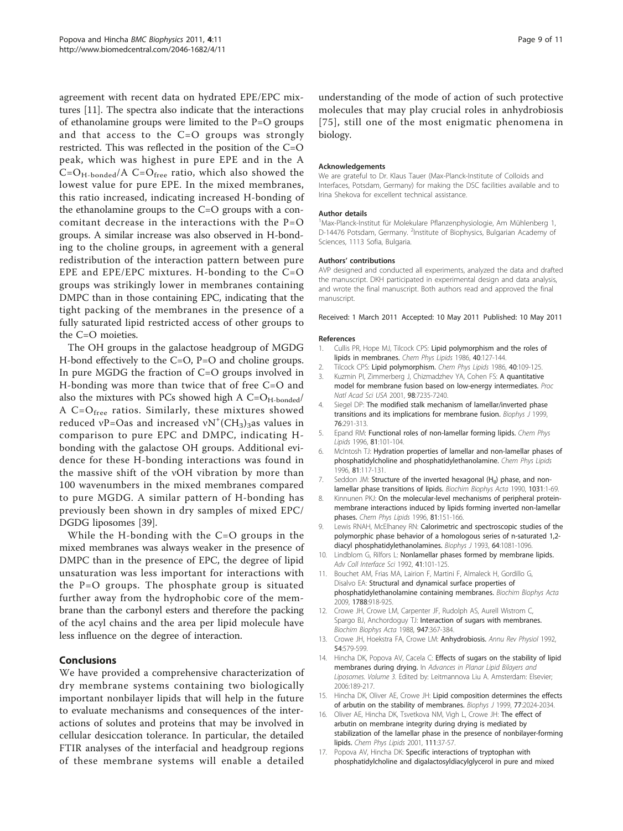<span id="page-8-0"></span>agreement with recent data on hydrated EPE/EPC mixtures [11]. The spectra also indicate that the interactions of ethanolamine groups were limited to the P=O groups and that access to the C=O groups was strongly restricted. This was reflected in the position of the C=O peak, which was highest in pure EPE and in the A  $C=O_{H-bonded}/A$   $C=O_{free}$  ratio, which also showed the lowest value for pure EPE. In the mixed membranes, this ratio increased, indicating increased H-bonding of the ethanolamine groups to the C=O groups with a concomitant decrease in the interactions with the P=O groups. A similar increase was also observed in H-bonding to the choline groups, in agreement with a general redistribution of the interaction pattern between pure EPE and EPE/EPC mixtures. H-bonding to the C=O groups was strikingly lower in membranes containing DMPC than in those containing EPC, indicating that the tight packing of the membranes in the presence of a fully saturated lipid restricted access of other groups to the C=O moieties.

The OH groups in the galactose headgroup of MGDG H-bond effectively to the C=O, P=O and choline groups. In pure MGDG the fraction of C=O groups involved in H-bonding was more than twice that of free C=O and also the mixtures with PCs showed high A  $C=O_{H-bonded}/$ A C=O<sub>free</sub> ratios. Similarly, these mixtures showed reduced  $vP=O$ as and increased  $vN^+(CH_3)_3$ as values in comparison to pure EPC and DMPC, indicating Hbonding with the galactose OH groups. Additional evidence for these H-bonding interactions was found in the massive shift of the νOH vibration by more than 100 wavenumbers in the mixed membranes compared to pure MGDG. A similar pattern of H-bonding has previously been shown in dry samples of mixed EPC/ DGDG liposomes [\[39](#page-9-0)].

While the H-bonding with the C=O groups in the mixed membranes was always weaker in the presence of DMPC than in the presence of EPC, the degree of lipid unsaturation was less important for interactions with the P=O groups. The phosphate group is situated further away from the hydrophobic core of the membrane than the carbonyl esters and therefore the packing of the acyl chains and the area per lipid molecule have less influence on the degree of interaction.

# Conclusions

We have provided a comprehensive characterization of dry membrane systems containing two biologically important nonbilayer lipids that will help in the future to evaluate mechanisms and consequences of the interactions of solutes and proteins that may be involved in cellular desiccation tolerance. In particular, the detailed FTIR analyses of the interfacial and headgroup regions of these membrane systems will enable a detailed

understanding of the mode of action of such protective molecules that may play crucial roles in anhydrobiosis [[75](#page-10-0)], still one of the most enigmatic phenomena in biology.

## Acknowledgements

We are grateful to Dr. Klaus Tauer (Max-Planck-Institute of Colloids and Interfaces, Potsdam, Germany) for making the DSC facilities available and to Irina Shekova for excellent technical assistance.

## Author details

1 Max-Planck-Institut für Molekulare Pflanzenphysiologie, Am Mühlenberg 1, D-14476 Potsdam, Germany. <sup>2</sup>Institute of Biophysics, Bulgarian Academy of Sciences, 1113 Sofia, Bulgaria.

## Authors' contributions

AVP designed and conducted all experiments, analyzed the data and drafted the manuscript. DKH participated in experimental design and data analysis, and wrote the final manuscript. Both authors read and approved the final manuscript.

Received: 1 March 2011 Accepted: 10 May 2011 Published: 10 May 2011

#### References

- Cullis PR, Hope MJ, Tilcock CPS: [Lipid polymorphism and the roles of](http://www.ncbi.nlm.nih.gov/pubmed/3742670?dopt=Abstract) [lipids in membranes.](http://www.ncbi.nlm.nih.gov/pubmed/3742670?dopt=Abstract) Chem Phys Lipids 1986, 40:127-144.
- 2. Tilcock CPS: [Lipid polymorphism.](http://www.ncbi.nlm.nih.gov/pubmed/3742669?dopt=Abstract) Chem Phys Lipids 1986, 40:109-125.
- 3. Kuzmin PI, Zimmerberg J, Chizmadzhev YA, Cohen FS: [A quantitative](http://www.ncbi.nlm.nih.gov/pubmed/11404463?dopt=Abstract) [model for membrane fusion based on low-energy intermediates.](http://www.ncbi.nlm.nih.gov/pubmed/11404463?dopt=Abstract) Proc Natl Acad Sci USA 2001, 98:7235-7240.
- 4. Siegel DP: [The modified stalk mechanism of lamellar/inverted phase](http://www.ncbi.nlm.nih.gov/pubmed/9876142?dopt=Abstract) [transitions and its implications for membrane fusion.](http://www.ncbi.nlm.nih.gov/pubmed/9876142?dopt=Abstract) Biophys J 1999, 76:291-313.
- 5. Epand RM: Functional roles of non-lamellar forming lipids. Chem Phys Lipids 1996, 81:101-104.
- 6. McIntosh TJ: [Hydration properties of lamellar and non-lamellar phases of](http://www.ncbi.nlm.nih.gov/pubmed/8810046?dopt=Abstract) [phosphatidylcholine and phosphatidylethanolamine.](http://www.ncbi.nlm.nih.gov/pubmed/8810046?dopt=Abstract) Chem Phys Lipids 1996, 81:117-131.
- 7. Seddon JM: Structure of the inverted hexagonal (H<sub>II</sub>) phase, and non[lamellar phase transitions of lipids.](http://www.ncbi.nlm.nih.gov/pubmed/2407291?dopt=Abstract) Biochim Biophys Acta 1990, 1031:1-69.
- 8. Kinnunen PKJ: On the molecular-level mechanisms of peripheral proteinmembrane interactions induced by lipids forming inverted non-lamellar phases. Chem Phys Lipids 1996, 81:151-166.
- 9. Lewis RNAH, McElhaney RN: [Calorimetric and spectroscopic studies of the](http://www.ncbi.nlm.nih.gov/pubmed/8494972?dopt=Abstract) [polymorphic phase behavior of a homologous series of n-saturated 1,2](http://www.ncbi.nlm.nih.gov/pubmed/8494972?dopt=Abstract) [diacyl phosphatidylethanolamines.](http://www.ncbi.nlm.nih.gov/pubmed/8494972?dopt=Abstract) Biophys J 1993, 64:1081-1096
- 10. Lindblom G, Rilfors L: Nonlamellar phases formed by membrane lipids. Adv Coll Interface Sci 1992, 41:101-125.
- 11. Bouchet AM, Frias MA, Lairion F, Martini F, Almaleck H, Gordillo G, Disalvo EA: [Structural and dynamical surface properties of](http://www.ncbi.nlm.nih.gov/pubmed/19248762?dopt=Abstract) [phosphatidylethanolamine containing membranes.](http://www.ncbi.nlm.nih.gov/pubmed/19248762?dopt=Abstract) Biochim Biophys Acta 2009, 1788:918-925.
- 12. Crowe JH, Crowe LM, Carpenter JF, Rudolph AS, Aurell Wistrom C, Spargo BJ, Anchordoguy TJ: [Interaction of sugars with membranes.](http://www.ncbi.nlm.nih.gov/pubmed/3285894?dopt=Abstract) Biochim Biophys Acta 1988, 947:367-384.
- 13. Crowe JH, Hoekstra FA, Crowe LM: [Anhydrobiosis.](http://www.ncbi.nlm.nih.gov/pubmed/1562184?dopt=Abstract) Annu Rev Physiol 1992, 54:579-599.
- 14. Hincha DK, Popova AV, Cacela C: Effects of sugars on the stability of lipid membranes during drying. In Advances in Planar Lipid Bilayers and Liposomes. Volume 3. Edited by: Leitmannova Liu A. Amsterdam: Elsevier; 2006:189-217.
- 15. Hincha DK, Oliver AE, Crowe JH: [Lipid composition determines the effects](http://www.ncbi.nlm.nih.gov/pubmed/10512822?dopt=Abstract) [of arbutin on the stability of membranes.](http://www.ncbi.nlm.nih.gov/pubmed/10512822?dopt=Abstract) Biophys J 1999, 77:2024-2034.
- 16. Oliver AE, Hincha DK, Tsvetkova NM, Vigh L, Crowe JH: [The effect of](http://www.ncbi.nlm.nih.gov/pubmed/11438283?dopt=Abstract) [arbutin on membrane integrity during drying is mediated by](http://www.ncbi.nlm.nih.gov/pubmed/11438283?dopt=Abstract) [stabilization of the lamellar phase in the presence of nonbilayer-forming](http://www.ncbi.nlm.nih.gov/pubmed/11438283?dopt=Abstract) [lipids.](http://www.ncbi.nlm.nih.gov/pubmed/11438283?dopt=Abstract) Chem Phys Lipids 2001, 111:37-57.
- 17. Popova AV, Hincha DK: [Specific interactions of tryptophan with](http://www.ncbi.nlm.nih.gov/pubmed/15555603?dopt=Abstract) [phosphatidylcholine and digalactosyldiacylglycerol in pure and mixed](http://www.ncbi.nlm.nih.gov/pubmed/15555603?dopt=Abstract)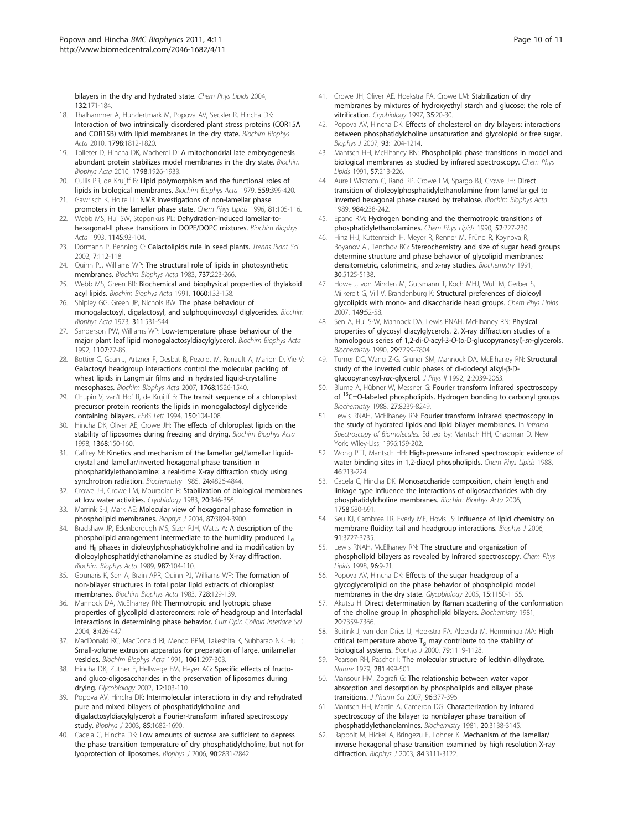<span id="page-9-0"></span>[bilayers in the dry and hydrated state.](http://www.ncbi.nlm.nih.gov/pubmed/15555603?dopt=Abstract) Chem Phys Lipids 2004, 132:171-184.

- 18. Thalhammer A, Hundertmark M, Popova AV, Seckler R, Hincha DK: [Interaction of two intrinsically disordered plant stress proteins \(COR15A](http://www.ncbi.nlm.nih.gov/pubmed/20510170?dopt=Abstract) [and COR15B\) with lipid membranes in the dry state.](http://www.ncbi.nlm.nih.gov/pubmed/20510170?dopt=Abstract) Biochim Biophys Acta 2010, 1798:1812-1820.
- 19. Tolleter D, Hincha DK, Macherel D: [A mitochondrial late embryogenesis](http://www.ncbi.nlm.nih.gov/pubmed/20637181?dopt=Abstract) [abundant protein stabilizes model membranes in the dry state.](http://www.ncbi.nlm.nih.gov/pubmed/20637181?dopt=Abstract) Biochim Biophys Acta 2010, 1798:1926-1933.
- 20. Cullis PR, de Kruijff B: [Lipid polymorphism and the functional roles of](http://www.ncbi.nlm.nih.gov/pubmed/391283?dopt=Abstract) [lipids in biological membranes.](http://www.ncbi.nlm.nih.gov/pubmed/391283?dopt=Abstract) Biochim Biophys Acta 1979, 559:399-420.
- 21. Gawrisch K, Holte LL: NMR investigations of non-lamellar phase promoters in the lamellar phase state. Chem Phys Lipids 1996, 81:105-116.
- 22. Webb MS, Hui SW, Steponkus PL: [Dehydration-induced lamellar-to](http://www.ncbi.nlm.nih.gov/pubmed/8422415?dopt=Abstract)[hexagonal-II phase transitions in DOPE/DOPC mixtures.](http://www.ncbi.nlm.nih.gov/pubmed/8422415?dopt=Abstract) Biochim Biophys Acta 1993, 1145:93-104.
- 23. Dörmann P, Benning C: [Galactolipids rule in seed plants.](http://www.ncbi.nlm.nih.gov/pubmed/11906834?dopt=Abstract) Trends Plant Sci 2002, 7:112-118.
- 24. Quinn PJ, Williams WP: The structural role of lipids in photosynthetic membranes. Biochim Biophys Acta 1983, 737:223-266.
- 25. Webb MS, Green BR: Biochemical and biophysical properties of thylakoid acyl lipids. Biochim Biophys Acta 1991, 1060:133-158.
- 26. Shipley GG, Green JP, Nichols BW: [The phase behaviour of](http://www.ncbi.nlm.nih.gov/pubmed/4738152?dopt=Abstract) [monogalactosyl, digalactosyl, and sulphoquinovosyl diglycerides.](http://www.ncbi.nlm.nih.gov/pubmed/4738152?dopt=Abstract) Biochim Biophys Acta 1973, 311:531-544.
- 27. Sanderson PW, Williams WP: [Low-temperature phase behaviour of the](http://www.ncbi.nlm.nih.gov/pubmed/1616928?dopt=Abstract) [major plant leaf lipid monogalactosyldiacylglycerol.](http://www.ncbi.nlm.nih.gov/pubmed/1616928?dopt=Abstract) Biochim Biophys Acta 1992, 1107:77-85.
- 28. Bottier C, Gean J, Artzner F, Desbat B, Pezolet M, Renault A, Marion D, Vie V: [Galactosyl headgroup interactions control the molecular packing of](http://www.ncbi.nlm.nih.gov/pubmed/17459332?dopt=Abstract) [wheat lipids in Langmuir films and in hydrated liquid-crystalline](http://www.ncbi.nlm.nih.gov/pubmed/17459332?dopt=Abstract) [mesophases.](http://www.ncbi.nlm.nih.gov/pubmed/17459332?dopt=Abstract) Biochim Biophys Acta 2007, 1768:1526-1540.
- 29. Chupin V, van't Hof R, de Kruijff B: The transit sequence of a chloroplast precursor protein reorients the lipids in monogalactosyl diglyceride containing bilayers. FEBS Lett 1994, 150:104-108.
- 30. Hincha DK, Oliver AE, Crowe JH: [The effects of chloroplast lipids on the](http://www.ncbi.nlm.nih.gov/pubmed/9459593?dopt=Abstract) [stability of liposomes during freezing and drying.](http://www.ncbi.nlm.nih.gov/pubmed/9459593?dopt=Abstract) Biochim Biophys Acta 1998, 1368:150-160.
- 31. Caffrey M: Kinetics [and mechanism of the lamellar gel/lamellar liquid](http://www.ncbi.nlm.nih.gov/pubmed/4074661?dopt=Abstract)[crystal and lamellar/inverted hexagonal phase transition in](http://www.ncbi.nlm.nih.gov/pubmed/4074661?dopt=Abstract) [phosphatidylethanolamine: a real-time X-ray diffraction study using](http://www.ncbi.nlm.nih.gov/pubmed/4074661?dopt=Abstract) [synchrotron radiation.](http://www.ncbi.nlm.nih.gov/pubmed/4074661?dopt=Abstract) Biochemistry 1985, 24:4826-4844.
- 32. Crowe JH, Crowe LM, Mouradian R: [Stabilization of biological membranes](http://www.ncbi.nlm.nih.gov/pubmed/6309479?dopt=Abstract) [at low water activities.](http://www.ncbi.nlm.nih.gov/pubmed/6309479?dopt=Abstract) Cryobiology 1983, 20:346-356.
- 33. Marrink S-J, Mark AE: [Molecular view of hexagonal phase formation in](http://www.ncbi.nlm.nih.gov/pubmed/15377528?dopt=Abstract) [phospholipid membranes.](http://www.ncbi.nlm.nih.gov/pubmed/15377528?dopt=Abstract) Biophys J 2004, 87:3894-3900.
- 34. Bradshaw JP, Edenborough MS, Sizer PJH, Watts A: A description of the phospholipid arrangement intermediate to the humidity produced  $L_{\alpha}$ and  $H<sub>II</sub>$  phases in dioleoylphosphatidylcholine and its modification by dioleoylphosphatidylethanolamine as studied by X-ray diffraction. Biochim Biophys Acta 1989, 987:104-110.
- 35. Gounaris K, Sen A, Brain APR, Quinn PJ, Williams WP: The formation of non-bilayer structures in total polar lipid extracts of chloroplast membranes. Biochim Biophys Acta 1983, 728:129-139.
- 36. Mannock DA, McElhaney RN: Thermotropic and lyotropic phase properties of glycolipid diastereomers: role of headgroup and interfacial interactions in determining phase behavior. Curr Opin Colloid Interface Sci 2004, 8:426-447.
- 37. MacDonald RC, MacDonald RI, Menco BPM, Takeshita K, Subbarao NK, Hu L: [Small-volume extrusion apparatus for preparation of large, unilamellar](http://www.ncbi.nlm.nih.gov/pubmed/1998698?dopt=Abstract) [vesicles.](http://www.ncbi.nlm.nih.gov/pubmed/1998698?dopt=Abstract) Biochim Biophys Acta 1991, 1061:297-303.
- 38. Hincha DK, Zuther E, Hellwege EM, Heyer AG: [Specific effects of fructo](http://www.ncbi.nlm.nih.gov/pubmed/11886843?dopt=Abstract)[and gluco-oligosaccharides in the preservation of liposomes during](http://www.ncbi.nlm.nih.gov/pubmed/11886843?dopt=Abstract) [drying.](http://www.ncbi.nlm.nih.gov/pubmed/11886843?dopt=Abstract) Glycobiology 2002, 12:103-110.
- 39. Popova AV, Hincha DK: [Intermolecular interactions in dry and rehydrated](http://www.ncbi.nlm.nih.gov/pubmed/12944283?dopt=Abstract) [pure and mixed bilayers of phosphatidylcholine and](http://www.ncbi.nlm.nih.gov/pubmed/12944283?dopt=Abstract) [digalactosyldiacylglycerol: a Fourier-transform infrared spectroscopy](http://www.ncbi.nlm.nih.gov/pubmed/12944283?dopt=Abstract) [study.](http://www.ncbi.nlm.nih.gov/pubmed/12944283?dopt=Abstract) Biophys J 2003, 85:1682-1690.
- 40. Cacela C, Hincha DK: [Low amounts of sucrose are sufficient to depress](http://www.ncbi.nlm.nih.gov/pubmed/16443655?dopt=Abstract) [the phase transition temperature of dry phosphatidylcholine, but not for](http://www.ncbi.nlm.nih.gov/pubmed/16443655?dopt=Abstract) [lyoprotection of liposomes.](http://www.ncbi.nlm.nih.gov/pubmed/16443655?dopt=Abstract) Biophys J 2006, 90:2831-2842.
- 41. Crowe JH, Oliver AE, Hoekstra FA, Crowe LM: [Stabilization of dry](http://www.ncbi.nlm.nih.gov/pubmed/9302765?dopt=Abstract) [membranes by mixtures of hydroxyethyl starch and glucose: the role of](http://www.ncbi.nlm.nih.gov/pubmed/9302765?dopt=Abstract) [vitrification.](http://www.ncbi.nlm.nih.gov/pubmed/9302765?dopt=Abstract) Cryobiology 1997, 35:20-30.
- 42. Popova AV, Hincha DK: [Effects of cholesterol on dry bilayers: interactions](http://www.ncbi.nlm.nih.gov/pubmed/17526577?dopt=Abstract) [between phosphatidylcholine unsaturation and glycolopid or free sugar.](http://www.ncbi.nlm.nih.gov/pubmed/17526577?dopt=Abstract) Biophys J 2007, 93:1204-1214.
- 43. Mantsch HH, McElhaney RN: [Phospholipid phase transitions in model and](http://www.ncbi.nlm.nih.gov/pubmed/2054905?dopt=Abstract) [biological membranes as studied by infrared spectroscopy.](http://www.ncbi.nlm.nih.gov/pubmed/2054905?dopt=Abstract) Chem Phys Lipids 1991, 57:213-226.
- 44. Aurell Wistrom C, Rand RP, Crowe LM, Spargo BJ, Crowe JH: Direct transition of dioleoylphosphatidylethanolamine from lamellar gel to inverted hexagonal phase caused by trehalose. Biochim Biophys Acta 1989, 984:238-242.
- 45. Epand RM: Hydrogen bonding and the thermotropic transitions of phosphatidylethanolamines. Chem Phys Lipids 1990, 52:227-230.
- Hinz H-J, Kuttenreich H, Meyer R, Renner M, Fründ R, Koynova R, Boyanov AI, Tenchov BG: [Stereochemistry and size of sugar head groups](http://www.ncbi.nlm.nih.gov/pubmed/2036378?dopt=Abstract) [determine structure and phase behavior of glycolipid membranes:](http://www.ncbi.nlm.nih.gov/pubmed/2036378?dopt=Abstract) [densitometric, calorimetric, and x-ray studies.](http://www.ncbi.nlm.nih.gov/pubmed/2036378?dopt=Abstract) Biochemistry 1991, 30:5125-5138.
- 47. Howe J, von Minden M, Gutsmann T, Koch MHJ, Wulf M, Gerber S, Milkereit G, Vill V, Brandenburg K: [Structural preferences of dioleoyl](http://www.ncbi.nlm.nih.gov/pubmed/17658504?dopt=Abstract) [glycolipids with mono- and disaccharide head groups.](http://www.ncbi.nlm.nih.gov/pubmed/17658504?dopt=Abstract) Chem Phys Lipids 2007, 149:52-58.
- 48. Sen A, Hui S-W, Mannock DA, Lewis RNAH, McElhaney RN: [Physical](http://www.ncbi.nlm.nih.gov/pubmed/2261436?dopt=Abstract) [properties of glycosyl diacylglycerols. 2. X-ray diffraction studies of a](http://www.ncbi.nlm.nih.gov/pubmed/2261436?dopt=Abstract) [homologous series of 1,2-di-](http://www.ncbi.nlm.nih.gov/pubmed/2261436?dopt=Abstract)O-acyl-3-O-(α-D-glucopyranosyl)-sn-glycerols. Biochemistry 1990, 29:7799-7804.
- 49. Turner DC, Wang Z-G, Gruner SM, Mannock DA, McElhaney RN: Structural study of the inverted cubic phases of di-dodecyl alkyl-β-Dglucopyranosyl-rac-glycerol. J Phys II 1992, 2:2039-2063
- Blume A, Hübner W, Messner G: [Fourier transform infrared spectroscopy](http://www.ncbi.nlm.nih.gov/pubmed/3233207?dopt=Abstract) of <sup>13</sup>C=O-labeled phospholipids. Hydrogen bonding to carbonyl groups. Biochemistry 1988, 27:8239-8249.
- 51. Lewis RNAH, McElhaney RN: Fourier transform infrared spectroscopy in the study of hydrated lipids and lipid bilayer membranes. In Infrared Spectroscopy of Biomolecules. Edited by: Mantsch HH, Chapman D. New York: Wiley-Liss; 1996:159-202.
- 52. Wong PTT, Mantsch HH: High-pressure infrared spectroscopic evidence of water binding sites in 1,2-diacyl phospholipids. Chem Phys Lipids 1988, 46:213-224.
- 53. Cacela C, Hincha DK: [Monosaccharide composition, chain length and](http://www.ncbi.nlm.nih.gov/pubmed/16730644?dopt=Abstract) [linkage type influence the interactions of oligosaccharides with dry](http://www.ncbi.nlm.nih.gov/pubmed/16730644?dopt=Abstract) [phosphatidylcholine membranes.](http://www.ncbi.nlm.nih.gov/pubmed/16730644?dopt=Abstract) Biochim Biophys Acta 2006, 1758:680-691.
- 54. Seu KJ, Cambrea LR, Everly ME, Hovis JS: [Influence of lipid chemistry on](http://www.ncbi.nlm.nih.gov/pubmed/16950848?dopt=Abstract) [membrane fluidity: tail and headgroup interactions.](http://www.ncbi.nlm.nih.gov/pubmed/16950848?dopt=Abstract) Biophys J 2006, 91:3727-3735.
- 55. Lewis RNAH, McElhaney RN: The structure and organization of phospholipid bilayers as revealed by infrared spectroscopy. Chem Phys Lipids 1998, 96:9-21.
- Popova AV, Hincha DK: [Effects of the sugar headgroup of a](http://www.ncbi.nlm.nih.gov/pubmed/15972890?dopt=Abstract) [glycoglycerolipid on the phase behavior of phospholipid model](http://www.ncbi.nlm.nih.gov/pubmed/15972890?dopt=Abstract) [membranes in the dry state.](http://www.ncbi.nlm.nih.gov/pubmed/15972890?dopt=Abstract) Glycobiology 2005, 15:1150-1155.
- 57. Akutsu H: [Direct determination by Raman scattering of the conformation](http://www.ncbi.nlm.nih.gov/pubmed/7326231?dopt=Abstract) [of the choline group in phospholipid bilayers.](http://www.ncbi.nlm.nih.gov/pubmed/7326231?dopt=Abstract) Biochemistry 1981, 20:7359-7366.
- Buitink J, van den Dries IJ, Hoekstra FA, Alberda M, Hemminga MA: [High](http://www.ncbi.nlm.nih.gov/pubmed/10920041?dopt=Abstract) critical temperature above  $T_g$  [may contribute to the stability of](http://www.ncbi.nlm.nih.gov/pubmed/10920041?dopt=Abstract) [biological systems.](http://www.ncbi.nlm.nih.gov/pubmed/10920041?dopt=Abstract) Biophys J 2000, 79:1119-1128.
- 59. Pearson RH, Pascher I: [The molecular structure of lecithin dihydrate.](http://www.ncbi.nlm.nih.gov/pubmed/492310?dopt=Abstract) Nature 1979, 281:499-501.
- 60. Mansour HM, Zografi G: [The relationship between water vapor](http://www.ncbi.nlm.nih.gov/pubmed/17080427?dopt=Abstract) [absorption and desorption by phospholipids and bilayer phase](http://www.ncbi.nlm.nih.gov/pubmed/17080427?dopt=Abstract) [transitions.](http://www.ncbi.nlm.nih.gov/pubmed/17080427?dopt=Abstract) J Pharm Sci 2007, 96:377-396.
- 61. Mantsch HH, Martin A, Cameron DG: [Characterization by infrared](http://www.ncbi.nlm.nih.gov/pubmed/7195735?dopt=Abstract) [spectroscopy of the bilayer to nonbilayer phase transition of](http://www.ncbi.nlm.nih.gov/pubmed/7195735?dopt=Abstract) [phosphatidylethanolamines.](http://www.ncbi.nlm.nih.gov/pubmed/7195735?dopt=Abstract) Biochemistry 1981, 20:3138-3145.
- 62. Rappolt M, Hickel A, Bringezu F, Lohner K: [Mechanism of the lamellar/](http://www.ncbi.nlm.nih.gov/pubmed/12719241?dopt=Abstract) [inverse hexagonal phase transition examined by high resolution X-ray](http://www.ncbi.nlm.nih.gov/pubmed/12719241?dopt=Abstract) [diffraction.](http://www.ncbi.nlm.nih.gov/pubmed/12719241?dopt=Abstract) Biophys J 2003, 84:3111-3122.